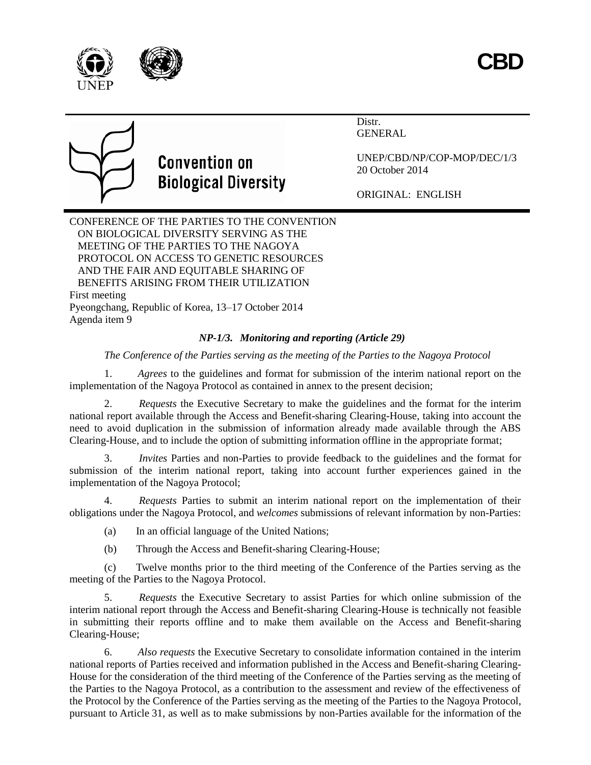



# **Convention on Biological Diversity**

Distr. GENERAL

UNEP/CBD/NP/COP-MOP/DEC/1/3 20 October 2014

ORIGINAL: ENGLISH

CONFERENCE OF THE PARTIES TO THE CONVENTION ON BIOLOGICAL DIVERSITY SERVING AS THE MEETING OF THE PARTIES TO THE NAGOYA PROTOCOL ON ACCESS TO GENETIC RESOURCES AND THE FAIR AND EQUITABLE SHARING OF BENEFITS ARISING FROM THEIR UTILIZATION First meeting Pyeongchang, Republic of Korea, 13–17 October 2014 Agenda item 9

### *NP-1/3. Monitoring and reporting (Article 29)*

*The Conference of the Parties serving as the meeting of the Parties to the Nagoya Protocol*

1. *Agrees* to the guidelines and format for submission of the interim national report on the implementation of the Nagoya Protocol as contained in annex to the present decision;

2. *Requests* the Executive Secretary to make the guidelines and the format for the interim national report available through the Access and Benefit-sharing Clearing-House, taking into account the need to avoid duplication in the submission of information already made available through the ABS Clearing-House, and to include the option of submitting information offline in the appropriate format;

3. *Invites* Parties and non-Parties to provide feedback to the guidelines and the format for submission of the interim national report, taking into account further experiences gained in the implementation of the Nagoya Protocol;

4. *Requests* Parties to submit an interim national report on the implementation of their obligations under the Nagoya Protocol, and *welcomes* submissions of relevant information by non-Parties:

(a) In an official language of the United Nations;

(b) Through the Access and Benefit-sharing Clearing-House;

(c) Twelve months prior to the third meeting of the Conference of the Parties serving as the meeting of the Parties to the Nagoya Protocol.

5. *Requests* the Executive Secretary to assist Parties for which online submission of the interim national report through the Access and Benefit-sharing Clearing-House is technically not feasible in submitting their reports offline and to make them available on the Access and Benefit-sharing Clearing-House;

6. *Also requests* the Executive Secretary to consolidate information contained in the interim national reports of Parties received and information published in the Access and Benefit-sharing Clearing-House for the consideration of the third meeting of the Conference of the Parties serving as the meeting of the Parties to the Nagoya Protocol, as a contribution to the assessment and review of the effectiveness of the Protocol by the Conference of the Parties serving as the meeting of the Parties to the Nagoya Protocol, pursuant to Article 31, as well as to make submissions by non-Parties available for the information of the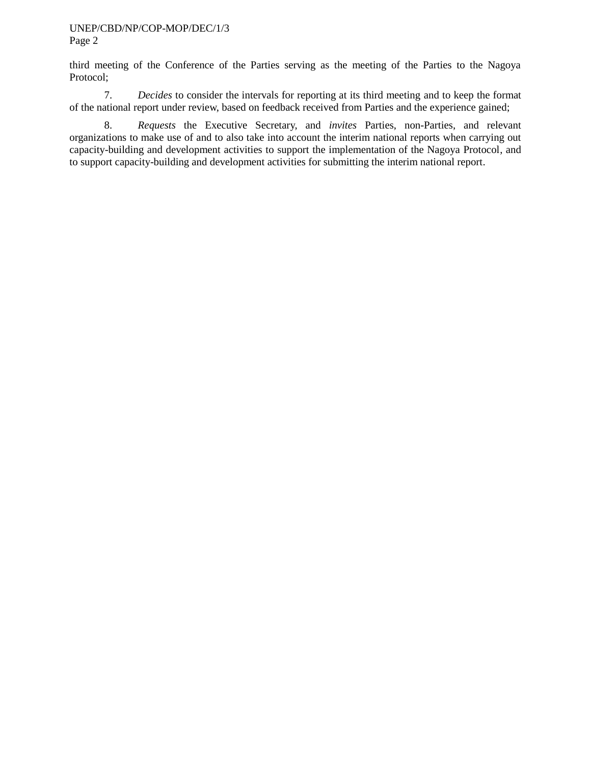third meeting of the Conference of the Parties serving as the meeting of the Parties to the Nagoya Protocol;

7. *Decides* to consider the intervals for reporting at its third meeting and to keep the format of the national report under review, based on feedback received from Parties and the experience gained;

8. *Requests* the Executive Secretary, and *invites* Parties, non-Parties, and relevant organizations to make use of and to also take into account the interim national reports when carrying out capacity-building and development activities to support the implementation of the Nagoya Protocol, and to support capacity-building and development activities for submitting the interim national report.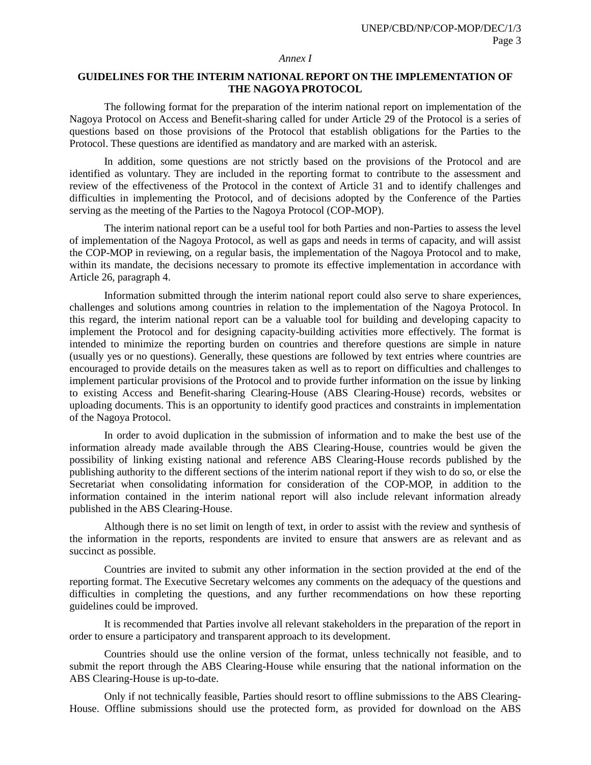#### *Annex I*

#### **GUIDELINES FOR THE INTERIM NATIONAL REPORT ON THE IMPLEMENTATION OF THE NAGOYA PROTOCOL**

The following format for the preparation of the interim national report on implementation of the Nagoya Protocol on Access and Benefit-sharing called for under Article 29 of the Protocol is a series of questions based on those provisions of the Protocol that establish obligations for the Parties to the Protocol. These questions are identified as mandatory and are marked with an asterisk.

In addition, some questions are not strictly based on the provisions of the Protocol and are identified as voluntary. They are included in the reporting format to contribute to the assessment and review of the effectiveness of the Protocol in the context of Article 31 and to identify challenges and difficulties in implementing the Protocol, and of decisions adopted by the Conference of the Parties serving as the meeting of the Parties to the Nagoya Protocol (COP-MOP).

The interim national report can be a useful tool for both Parties and non-Parties to assess the level of implementation of the Nagoya Protocol, as well as gaps and needs in terms of capacity, and will assist the COP-MOP in reviewing, on a regular basis, the implementation of the Nagoya Protocol and to make, within its mandate, the decisions necessary to promote its effective implementation in accordance with Article 26, paragraph 4.

Information submitted through the interim national report could also serve to share experiences, challenges and solutions among countries in relation to the implementation of the Nagoya Protocol. In this regard, the interim national report can be a valuable tool for building and developing capacity to implement the Protocol and for designing capacity-building activities more effectively. The format is intended to minimize the reporting burden on countries and therefore questions are simple in nature (usually yes or no questions). Generally, these questions are followed by text entries where countries are encouraged to provide details on the measures taken as well as to report on difficulties and challenges to implement particular provisions of the Protocol and to provide further information on the issue by linking to existing Access and Benefit-sharing Clearing-House (ABS Clearing-House) records, websites or uploading documents. This is an opportunity to identify good practices and constraints in implementation of the Nagoya Protocol.

In order to avoid duplication in the submission of information and to make the best use of the information already made available through the ABS Clearing-House, countries would be given the possibility of linking existing national and reference ABS Clearing-House records published by the publishing authority to the different sections of the interim national report if they wish to do so, or else the Secretariat when consolidating information for consideration of the COP-MOP, in addition to the information contained in the interim national report will also include relevant information already published in the ABS Clearing-House.

Although there is no set limit on length of text, in order to assist with the review and synthesis of the information in the reports, respondents are invited to ensure that answers are as relevant and as succinct as possible.

Countries are invited to submit any other information in the section provided at the end of the reporting format. The Executive Secretary welcomes any comments on the adequacy of the questions and difficulties in completing the questions, and any further recommendations on how these reporting guidelines could be improved.

It is recommended that Parties involve all relevant stakeholders in the preparation of the report in order to ensure a participatory and transparent approach to its development.

Countries should use the online version of the format, unless technically not feasible, and to submit the report through the ABS Clearing-House while ensuring that the national information on the ABS Clearing-House is up-to-date.

Only if not technically feasible, Parties should resort to offline submissions to the ABS Clearing-House. Offline submissions should use the protected form, as provided for download on the ABS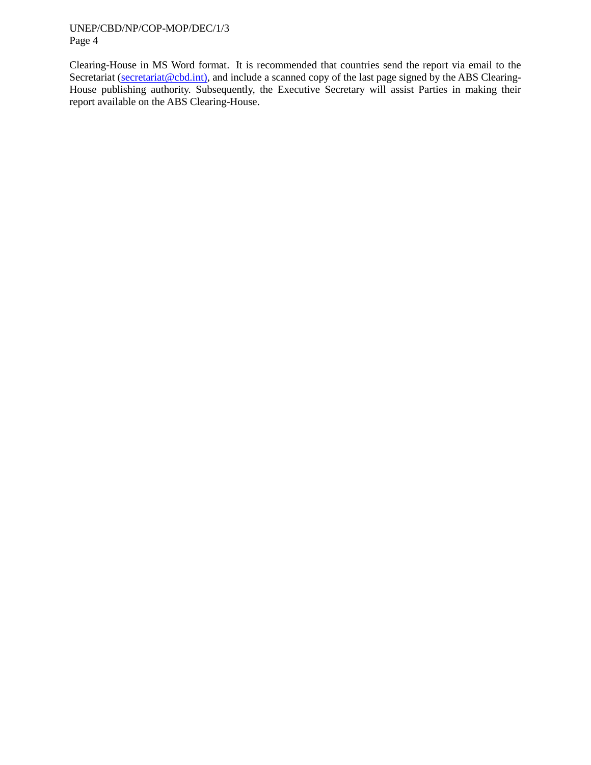Clearing-House in MS Word format. It is recommended that countries send the report via email to the Secretariat [\(secretariat@cbd.int\)](mailto:secretariat@cbd.int), and include a scanned copy of the last page signed by the ABS Clearing-House publishing authority. Subsequently, the Executive Secretary will assist Parties in making their report available on the ABS Clearing-House.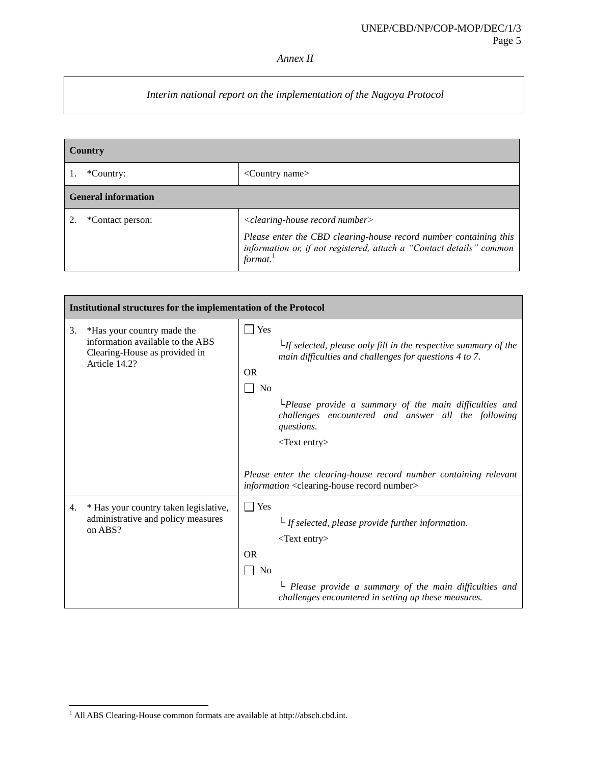### *Annex II*

### *Interim national report on the implementation of the Nagoya Protocol*

| Country                    |                                                                                                                                                                                                          |  |
|----------------------------|----------------------------------------------------------------------------------------------------------------------------------------------------------------------------------------------------------|--|
| *Country:                  | $\leq$ Country name $>$                                                                                                                                                                                  |  |
| <b>General information</b> |                                                                                                                                                                                                          |  |
| *Contact person:           | $\langle$ clearing-house record number $\rangle$<br>Please enter the CBD clearing-house record number containing this<br>information or, if not registered, attach a "Contact details" common<br>format. |  |

|    | Institutional structures for the implementation of the Protocol                                                  |                                                                                                                                                                                                                                                                                                                           |  |
|----|------------------------------------------------------------------------------------------------------------------|---------------------------------------------------------------------------------------------------------------------------------------------------------------------------------------------------------------------------------------------------------------------------------------------------------------------------|--|
| 3. | *Has your country made the<br>information available to the ABS<br>Clearing-House as provided in<br>Article 14.2? | $\Box$ Yes<br>$L$ <i>ff selected, please only fill in the respective summary of the</i><br>main difficulties and challenges for questions 4 to 7.<br><b>OR</b><br>No<br>LPlease provide a summary of the main difficulties and<br>challenges encountered and answer all the following<br>questions.<br>$<$ Text entry $>$ |  |
|    |                                                                                                                  | Please enter the clearing-house record number containing relevant<br>information <clearing-house number="" record=""></clearing-house>                                                                                                                                                                                    |  |
| 4. | * Has your country taken legislative,<br>administrative and policy measures<br>on ABS?                           | Yes<br>$\mathsf{L}\mathsf{I}$ <i>If selected, please provide further information.</i><br>$<$ Text entry $>$<br><b>OR</b><br>No<br>$\perp$ Please provide a summary of the main difficulties and<br>challenges encountered in setting up these measures.                                                                   |  |

l <sup>1</sup> All ABS Clearing-House common formats are available at http://absch.cbd.int.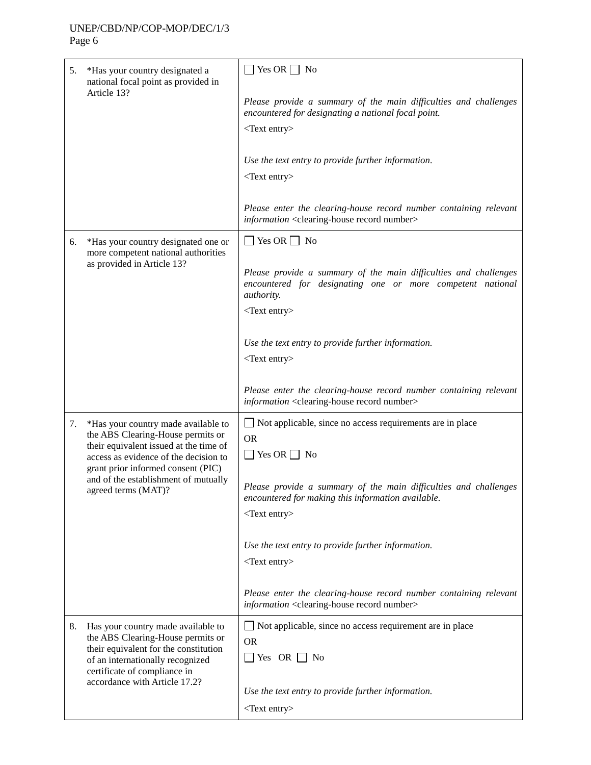| 5.                                                                             | *Has your country designated a<br>national focal point as provided in                                                                                                                | Yes OR $\Box$ No                                                                                                                             |
|--------------------------------------------------------------------------------|--------------------------------------------------------------------------------------------------------------------------------------------------------------------------------------|----------------------------------------------------------------------------------------------------------------------------------------------|
|                                                                                | Article 13?                                                                                                                                                                          | Please provide a summary of the main difficulties and challenges<br>encountered for designating a national focal point.                      |
|                                                                                |                                                                                                                                                                                      | <text entry=""></text>                                                                                                                       |
|                                                                                |                                                                                                                                                                                      | Use the text entry to provide further information.                                                                                           |
|                                                                                |                                                                                                                                                                                      | $<$ Text entry $>$                                                                                                                           |
|                                                                                |                                                                                                                                                                                      | Please enter the clearing-house record number containing relevant<br>information <clearing-house number="" record=""></clearing-house>       |
| 6.                                                                             | *Has your country designated one or<br>more competent national authorities                                                                                                           | Yes OR $\Box$ No                                                                                                                             |
|                                                                                | as provided in Article 13?                                                                                                                                                           | Please provide a summary of the main difficulties and challenges<br>encountered for designating one or more competent national<br>authority. |
|                                                                                |                                                                                                                                                                                      | $<$ Text entry $>$                                                                                                                           |
|                                                                                |                                                                                                                                                                                      | Use the text entry to provide further information.                                                                                           |
|                                                                                |                                                                                                                                                                                      | $<$ Text entry $>$                                                                                                                           |
|                                                                                |                                                                                                                                                                                      | Please enter the clearing-house record number containing relevant<br>information <clearing-house number="" record=""></clearing-house>       |
| *Has your country made available to<br>7.<br>the ABS Clearing-House permits or | $\Box$ Not applicable, since no access requirements are in place<br><b>OR</b>                                                                                                        |                                                                                                                                              |
|                                                                                | their equivalent issued at the time of<br>access as evidence of the decision to<br>grant prior informed consent (PIC)<br>and of the establishment of mutually<br>agreed terms (MAT)? | $\Box$ Yes OR $\Box$ No                                                                                                                      |
|                                                                                |                                                                                                                                                                                      | Please provide a summary of the main difficulties and challenges<br>encountered for making this information available.                       |
|                                                                                |                                                                                                                                                                                      | $<$ Text entry $>$                                                                                                                           |
|                                                                                |                                                                                                                                                                                      | Use the text entry to provide further information.                                                                                           |
|                                                                                |                                                                                                                                                                                      | $<$ Text entry $>$                                                                                                                           |
|                                                                                |                                                                                                                                                                                      | Please enter the clearing-house record number containing relevant<br>information <clearing-house number="" record=""></clearing-house>       |
| 8.                                                                             | Has your country made available to<br>the ABS Clearing-House permits or                                                                                                              | □ Not applicable, since no access requirement are in place<br><b>OR</b>                                                                      |
| their equivalent for the constitution<br>of an internationally recognized      | $\Box$ Yes OR $\Box$ No                                                                                                                                                              |                                                                                                                                              |
|                                                                                | certificate of compliance in<br>accordance with Article 17.2?                                                                                                                        | Use the text entry to provide further information.                                                                                           |
|                                                                                |                                                                                                                                                                                      | $<$ Text entry $>$                                                                                                                           |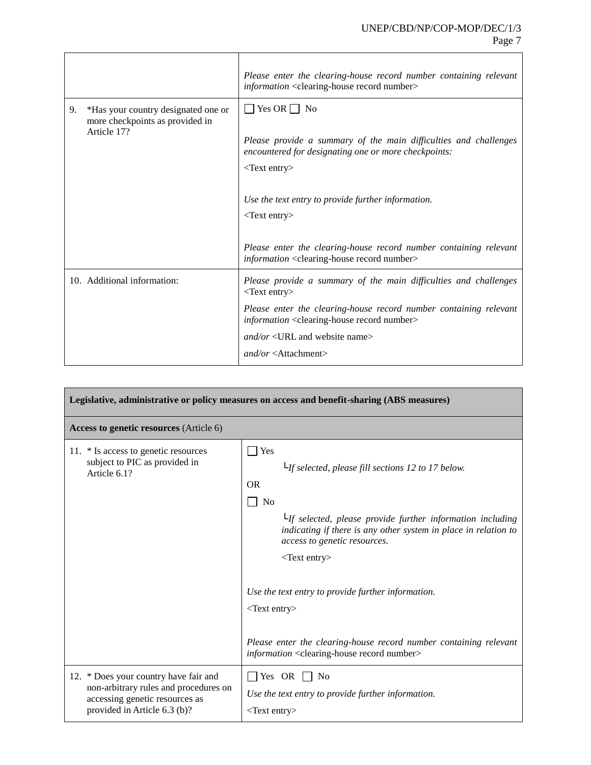|                                                                                             | Please enter the clearing-house record number containing relevant<br>information <clearing-house number="" record=""></clearing-house>                                                                                                                |
|---------------------------------------------------------------------------------------------|-------------------------------------------------------------------------------------------------------------------------------------------------------------------------------------------------------------------------------------------------------|
| *Has your country designated one or<br>9.<br>more checkpoints as provided in<br>Article 17? | $\Box$ Yes OR $\Box$ No<br>Please provide a summary of the main difficulties and challenges<br>encountered for designating one or more checkpoints:<br>$<$ Text entry $>$<br>Use the text entry to provide further information.<br>$<$ Text entry $>$ |
|                                                                                             | Please enter the clearing-house record number containing relevant<br>information <clearing-house number="" record=""></clearing-house>                                                                                                                |
| 10. Additional information:                                                                 | Please provide a summary of the main difficulties and challenges<br><text entry=""></text>                                                                                                                                                            |
|                                                                                             | Please enter the clearing-house record number containing relevant<br><i>information</i> <clearing-house number="" record=""></clearing-house>                                                                                                         |
|                                                                                             | $and/or < URL$ and website name>                                                                                                                                                                                                                      |
|                                                                                             | $and/or <$ Attachment>                                                                                                                                                                                                                                |

| Legislative, administrative or policy measures on access and benefit-sharing (ABS measures)                                                      |                                                                                                                                                                                                                                                                                                                                                                                                                                                                                                             |  |
|--------------------------------------------------------------------------------------------------------------------------------------------------|-------------------------------------------------------------------------------------------------------------------------------------------------------------------------------------------------------------------------------------------------------------------------------------------------------------------------------------------------------------------------------------------------------------------------------------------------------------------------------------------------------------|--|
| Access to genetic resources (Article 6)                                                                                                          |                                                                                                                                                                                                                                                                                                                                                                                                                                                                                                             |  |
| 11. * Is access to genetic resources<br>subject to PIC as provided in<br>Article 6.1?                                                            | $\Box$ Yes<br>$L$ If selected, please fill sections 12 to 17 below.<br><b>OR</b><br>No<br>$L_{\text{If}$ selected, please provide further information including<br>indicating if there is any other system in place in relation to<br>access to genetic resources.<br>$<$ Text entry $>$<br>Use the text entry to provide further information.<br>$<$ Text entry><br>Please enter the clearing-house record number containing relevant<br>information <clearing-house number="" record=""></clearing-house> |  |
| 12. * Does your country have fair and<br>non-arbitrary rules and procedures on<br>accessing genetic resources as<br>provided in Article 6.3 (b)? | $\Box$ Yes OR $\Box$ No<br>Use the text entry to provide further information.<br><text entry=""></text>                                                                                                                                                                                                                                                                                                                                                                                                     |  |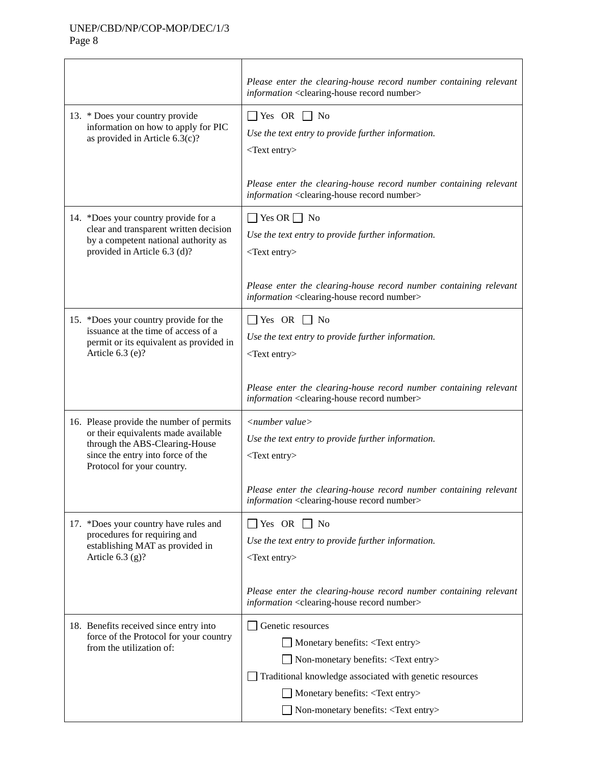|                                                                                                                                                                                      | Please enter the clearing-house record number containing relevant<br>information <clearing-house number="" record=""></clearing-house>                                                                                                                                       |
|--------------------------------------------------------------------------------------------------------------------------------------------------------------------------------------|------------------------------------------------------------------------------------------------------------------------------------------------------------------------------------------------------------------------------------------------------------------------------|
| 13. * Does your country provide<br>information on how to apply for PIC<br>as provided in Article 6.3(c)?                                                                             | $\Box$ Yes OR $\Box$ No<br>Use the text entry to provide further information.<br>$<$ Text entry $>$                                                                                                                                                                          |
|                                                                                                                                                                                      | Please enter the clearing-house record number containing relevant<br>information <clearing-house number="" record=""></clearing-house>                                                                                                                                       |
| 14. *Does your country provide for a<br>clear and transparent written decision<br>by a competent national authority as<br>provided in Article 6.3 (d)?                               | $\Box$ Yes OR $\Box$ No<br>Use the text entry to provide further information.<br>$<$ Text entry>                                                                                                                                                                             |
|                                                                                                                                                                                      | Please enter the clearing-house record number containing relevant<br>information <clearing-house number="" record=""></clearing-house>                                                                                                                                       |
| 15. *Does your country provide for the<br>issuance at the time of access of a<br>permit or its equivalent as provided in<br>Article 6.3 (e)?                                         | $\Box$ Yes OR $\Box$ No<br>Use the text entry to provide further information.<br>$<$ Text entry $>$                                                                                                                                                                          |
|                                                                                                                                                                                      | Please enter the clearing-house record number containing relevant<br>information <clearing-house number="" record=""></clearing-house>                                                                                                                                       |
| 16. Please provide the number of permits<br>or their equivalents made available<br>through the ABS-Clearing-House<br>since the entry into force of the<br>Protocol for your country. | $\langle$ number value $\rangle$<br>Use the text entry to provide further information.<br><text entry=""></text>                                                                                                                                                             |
|                                                                                                                                                                                      | Please enter the clearing-house record number containing relevant<br>information <clearing-house number="" record=""></clearing-house>                                                                                                                                       |
| 17. *Does your country have rules and<br>procedures for requiring and<br>establishing MAT as provided in<br>Article $6.3$ (g)?                                                       | $\Box$ Yes OR $\Box$ No<br>Use the text entry to provide further information.<br>$<$ Text entry $>$                                                                                                                                                                          |
|                                                                                                                                                                                      | Please enter the clearing-house record number containing relevant<br>information <clearing-house number="" record=""></clearing-house>                                                                                                                                       |
| 18. Benefits received since entry into<br>force of the Protocol for your country<br>from the utilization of:                                                                         | Genetic resources<br>Monetary benefits: <text entry=""><br/>Non-monetary benefits: <text entry=""><br/>Traditional knowledge associated with genetic resources<br/>Monetary benefits: <text entry=""><br/>Non-monetary benefits: <text entry=""></text></text></text></text> |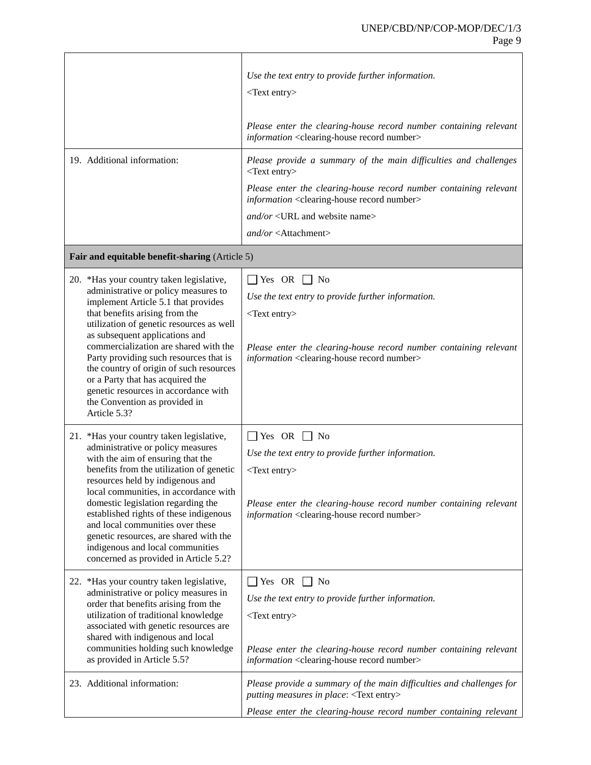|                                                                                                                                                                                                                                                                                                                                                                                                                                                                                                    | Use the text entry to provide further information.<br>$<$ Text entry $>$<br>Please enter the clearing-house record number containing relevant<br>information <clearing-house number="" record=""></clearing-house>                                                                                                                 |
|----------------------------------------------------------------------------------------------------------------------------------------------------------------------------------------------------------------------------------------------------------------------------------------------------------------------------------------------------------------------------------------------------------------------------------------------------------------------------------------------------|------------------------------------------------------------------------------------------------------------------------------------------------------------------------------------------------------------------------------------------------------------------------------------------------------------------------------------|
| 19. Additional information:                                                                                                                                                                                                                                                                                                                                                                                                                                                                        | Please provide a summary of the main difficulties and challenges<br><text entry=""><br/>Please enter the clearing-house record number containing relevant<br/>information <clearing-house number="" record=""><br/>and/or <url and="" name="" website=""><br/><math>and/or &lt;</math>Attachment&gt;</url></clearing-house></text> |
| Fair and equitable benefit-sharing (Article 5)                                                                                                                                                                                                                                                                                                                                                                                                                                                     |                                                                                                                                                                                                                                                                                                                                    |
| 20. *Has your country taken legislative,<br>administrative or policy measures to<br>implement Article 5.1 that provides<br>that benefits arising from the<br>utilization of genetic resources as well<br>as subsequent applications and<br>commercialization are shared with the<br>Party providing such resources that is<br>the country of origin of such resources<br>or a Party that has acquired the<br>genetic resources in accordance with<br>the Convention as provided in<br>Article 5.3? | $\Box$ Yes OR $\Box$ No<br>Use the text entry to provide further information.<br>$<$ Text entry $>$<br>Please enter the clearing-house record number containing relevant<br>information <clearing-house number="" record=""></clearing-house>                                                                                      |
| 21. *Has your country taken legislative,<br>administrative or policy measures<br>with the aim of ensuring that the<br>benefits from the utilization of genetic<br>resources held by indigenous and<br>local communities, in accordance with<br>domestic legislation regarding the<br>established rights of these indigenous<br>and local communities over these<br>genetic resources, are shared with the<br>indigenous and local communities<br>concerned as provided in Article 5.2?             | $\Box$ Yes OR $\Box$ No<br>Use the text entry to provide further information.<br>$<$ Text entry><br>Please enter the clearing-house record number containing relevant<br>information <clearing-house number="" record=""></clearing-house>                                                                                         |
| 22. *Has your country taken legislative,<br>administrative or policy measures in<br>order that benefits arising from the<br>utilization of traditional knowledge<br>associated with genetic resources are<br>shared with indigenous and local<br>communities holding such knowledge<br>as provided in Article 5.5?                                                                                                                                                                                 | $\Box$ Yes OR $\Box$ No<br>Use the text entry to provide further information.<br>$<$ Text entry $>$<br>Please enter the clearing-house record number containing relevant<br>information <clearing-house number="" record=""></clearing-house>                                                                                      |
| 23. Additional information:                                                                                                                                                                                                                                                                                                                                                                                                                                                                        | Please provide a summary of the main difficulties and challenges for<br>putting measures in place: <text entry=""><br/>Please enter the clearing-house record number containing relevant</text>                                                                                                                                    |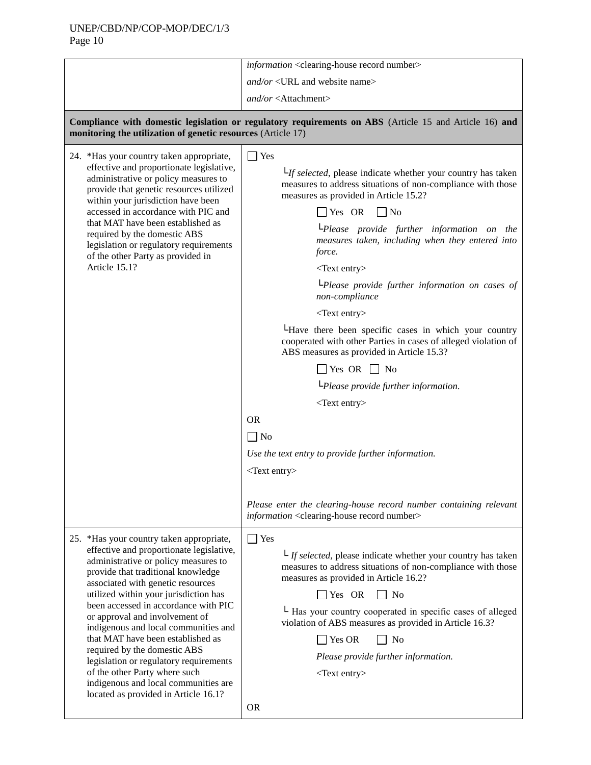|                                                                                                                                                                                                                                                                                                                                                                                                                                                                                                                                                                                                    | information <clearing-house number="" record=""></clearing-house>                                                                                                                                                                                                                                                                                                                                                                                                                                                                                                                                                                                                                                                                                                 |
|----------------------------------------------------------------------------------------------------------------------------------------------------------------------------------------------------------------------------------------------------------------------------------------------------------------------------------------------------------------------------------------------------------------------------------------------------------------------------------------------------------------------------------------------------------------------------------------------------|-------------------------------------------------------------------------------------------------------------------------------------------------------------------------------------------------------------------------------------------------------------------------------------------------------------------------------------------------------------------------------------------------------------------------------------------------------------------------------------------------------------------------------------------------------------------------------------------------------------------------------------------------------------------------------------------------------------------------------------------------------------------|
|                                                                                                                                                                                                                                                                                                                                                                                                                                                                                                                                                                                                    | $and/or <$ URL and website name>                                                                                                                                                                                                                                                                                                                                                                                                                                                                                                                                                                                                                                                                                                                                  |
|                                                                                                                                                                                                                                                                                                                                                                                                                                                                                                                                                                                                    | $and/or <$ Attachment>                                                                                                                                                                                                                                                                                                                                                                                                                                                                                                                                                                                                                                                                                                                                            |
| monitoring the utilization of genetic resources (Article 17)                                                                                                                                                                                                                                                                                                                                                                                                                                                                                                                                       | Compliance with domestic legislation or regulatory requirements on ABS (Article 15 and Article 16) and                                                                                                                                                                                                                                                                                                                                                                                                                                                                                                                                                                                                                                                            |
| 24. *Has your country taken appropriate,<br>effective and proportionate legislative,<br>administrative or policy measures to<br>provide that genetic resources utilized<br>within your jurisdiction have been<br>accessed in accordance with PIC and<br>that MAT have been established as<br>required by the domestic ABS<br>legislation or regulatory requirements<br>of the other Party as provided in<br>Article 15.1?                                                                                                                                                                          | $\Box$ Yes<br>$L_f$ selected, please indicate whether your country has taken<br>measures to address situations of non-compliance with those<br>measures as provided in Article 15.2?<br>$\Box$ Yes OR<br>$\Box$ No<br>LPlease provide further information on the<br>measures taken, including when they entered into<br>force.<br><text entry=""><br/><math>L</math>Please provide further information on cases of<br/>non-compliance<br/><math>&lt;</math>Text entry&gt;<br/>Let there been specific cases in which your country<br/>cooperated with other Parties in cases of alleged violation of<br/>ABS measures as provided in Article 15.3?<br/><math>\Box</math> Yes OR <math>\Box</math> No<br/><math>L</math>Please provide further information.</text> |
|                                                                                                                                                                                                                                                                                                                                                                                                                                                                                                                                                                                                    | <text entry=""><br/><b>OR</b><br/><math>\Box</math> No<br/>Use the text entry to provide further information.<br/><text entry=""><br/>Please enter the clearing-house record number containing relevant<br/>information <clearing-house number="" record=""></clearing-house></text></text>                                                                                                                                                                                                                                                                                                                                                                                                                                                                       |
| 25. *Has your country taken appropriate,<br>effective and proportionate legislative,<br>administrative or policy measures to<br>provide that traditional knowledge<br>associated with genetic resources<br>utilized within your jurisdiction has<br>been accessed in accordance with PIC<br>or approval and involvement of<br>indigenous and local communities and<br>that MAT have been established as<br>required by the domestic ABS<br>legislation or regulatory requirements<br>of the other Party where such<br>indigenous and local communities are<br>located as provided in Article 16.1? | $\Box$ Yes<br>$\mathsf{L}_{\mathit{If} \mathit{selected}, \mathit{please} \mathit{ indicate} \mathit{whether} \mathit{your} \mathit{ country} \mathit{has} \mathit{taken}$<br>measures to address situations of non-compliance with those<br>measures as provided in Article 16.2?<br>Yes OR<br>N <sub>0</sub><br>L Has your country cooperated in specific cases of alleged<br>violation of ABS measures as provided in Article 16.3?<br><b>No</b><br>Yes OR<br>Please provide further information.<br>$<$ Text entry><br><b>OR</b>                                                                                                                                                                                                                              |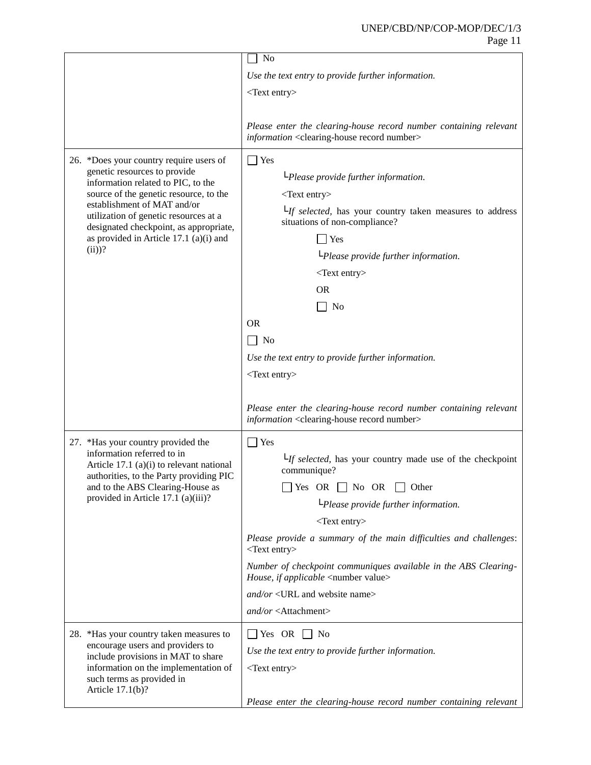|                                                                                                                                                                                                                                                                                                                                 | N <sub>o</sub>                                                                                                                                                                                                                                                                                                                                                                                                                                                                                                              |
|---------------------------------------------------------------------------------------------------------------------------------------------------------------------------------------------------------------------------------------------------------------------------------------------------------------------------------|-----------------------------------------------------------------------------------------------------------------------------------------------------------------------------------------------------------------------------------------------------------------------------------------------------------------------------------------------------------------------------------------------------------------------------------------------------------------------------------------------------------------------------|
|                                                                                                                                                                                                                                                                                                                                 | Use the text entry to provide further information.                                                                                                                                                                                                                                                                                                                                                                                                                                                                          |
|                                                                                                                                                                                                                                                                                                                                 | $<$ Text entry $>$                                                                                                                                                                                                                                                                                                                                                                                                                                                                                                          |
|                                                                                                                                                                                                                                                                                                                                 |                                                                                                                                                                                                                                                                                                                                                                                                                                                                                                                             |
|                                                                                                                                                                                                                                                                                                                                 | Please enter the clearing-house record number containing relevant<br>information <clearing-house number="" record=""></clearing-house>                                                                                                                                                                                                                                                                                                                                                                                      |
| 26. *Does your country require users of<br>genetic resources to provide<br>information related to PIC, to the<br>source of the genetic resource, to the<br>establishment of MAT and/or<br>utilization of genetic resources at a<br>designated checkpoint, as appropriate,<br>as provided in Article 17.1 (a)(i) and<br>$(ii)$ ? | $\exists$ Yes<br>$L$ Please provide further information.<br>$<$ Text entry $>$<br>$L_{\textit{If selected}}$ , has your country taken measures to address<br>situations of non-compliance?<br>$\exists$ Yes<br>$L$ Please provide further information.<br>$<$ Text entry $>$<br><b>OR</b><br>$\Box$ No<br><b>OR</b><br>No<br>Use the text entry to provide further information.<br>$<$ Text entry $>$                                                                                                                       |
|                                                                                                                                                                                                                                                                                                                                 | Please enter the clearing-house record number containing relevant<br>information <clearing-house number="" record=""></clearing-house>                                                                                                                                                                                                                                                                                                                                                                                      |
| 27. *Has your country provided the<br>information referred to in<br>Article 17.1 (a)(i) to relevant national<br>authorities, to the Party providing PIC<br>and to the ABS Clearing-House as<br>provided in Article 17.1 (a)(iii)?                                                                                               | $\Box$ Yes<br>$L_{\textit{If selected}}$ , has your country made use of the checkpoint<br>communique?<br>$\Box$ Yes OR $\Box$ No OR $\Box$ Other<br>$L$ Please provide further information.<br>$<$ Text entry><br>Please provide a summary of the main difficulties and challenges:<br><text entry=""><br/>Number of checkpoint communiques available in the ABS Clearing-<br/>House, if applicable <number value=""><br/>and/or <url and="" name="" website=""><br/>and/or <attachment></attachment></url></number></text> |
| 28. *Has your country taken measures to<br>encourage users and providers to<br>include provisions in MAT to share<br>information on the implementation of<br>such terms as provided in<br>Article $17.1(b)$ ?                                                                                                                   | $\Box$ Yes OR $\Box$ No<br>Use the text entry to provide further information.<br>$<$ Text entry $>$<br>Please enter the clearing-house record number containing relevant                                                                                                                                                                                                                                                                                                                                                    |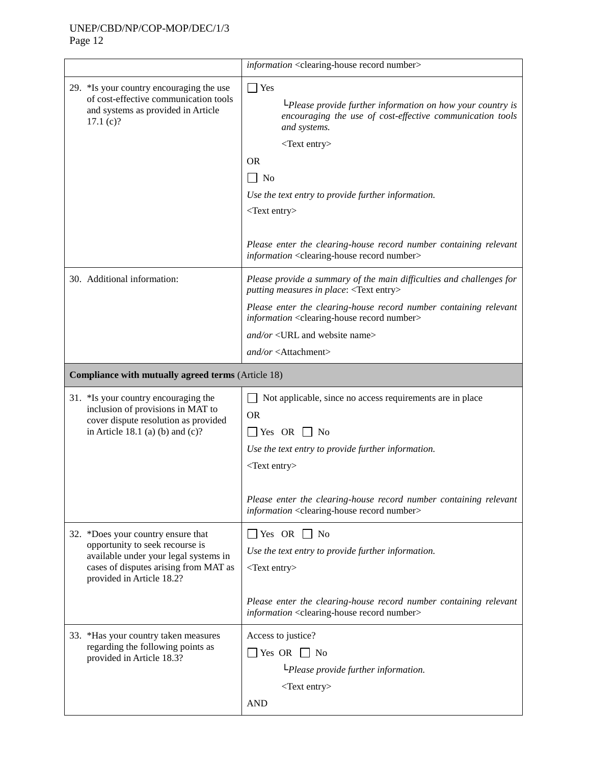|                                                                                                                                                                                      | information <clearing-house number="" record=""></clearing-house>                                                                                                                     |
|--------------------------------------------------------------------------------------------------------------------------------------------------------------------------------------|---------------------------------------------------------------------------------------------------------------------------------------------------------------------------------------|
| 29. *Is your country encouraging the use<br>of cost-effective communication tools<br>and systems as provided in Article<br>17.1(c)?                                                  | $\Box$ Yes<br>$L$ Please provide further information on how your country is<br>encouraging the use of cost-effective communication tools<br>and systems.<br>$<$ Text entry $>$        |
|                                                                                                                                                                                      | <b>OR</b><br>$\vert$ No<br>Use the text entry to provide further information.<br>$<$ Text entry $>$                                                                                   |
|                                                                                                                                                                                      | Please enter the clearing-house record number containing relevant<br>information <clearing-house number="" record=""></clearing-house>                                                |
| 30. Additional information:                                                                                                                                                          | Please provide a summary of the main difficulties and challenges for<br>putting measures in place: <text entry=""></text>                                                             |
|                                                                                                                                                                                      | Please enter the clearing-house record number containing relevant<br>information <clearing-house number="" record=""></clearing-house>                                                |
|                                                                                                                                                                                      | and/or <url and="" name="" website=""><br/><math>and/or &lt;</math>Attachment&gt;</url>                                                                                               |
| Compliance with mutually agreed terms (Article 18)                                                                                                                                   |                                                                                                                                                                                       |
| 31. *Is your country encouraging the<br>inclusion of provisions in MAT to<br>cover dispute resolution as provided<br>in Article 18.1 (a) (b) and $(c)$ ?                             | Not applicable, since no access requirements are in place<br><b>OR</b><br>$\Box$ Yes OR<br>N <sub>0</sub><br>Use the text entry to provide further information.<br>$<$ Text entry $>$ |
|                                                                                                                                                                                      | Please enter the clearing-house record number containing relevant<br>information <clearing-house number="" record=""></clearing-house>                                                |
| 32. *Does your country ensure that<br>opportunity to seek recourse is<br>available under your legal systems in<br>cases of disputes arising from MAT as<br>provided in Article 18.2? | $\Box$ Yes OR $\Box$ No<br>Use the text entry to provide further information.<br>$<$ Text entry $>$<br>Please enter the clearing-house record number containing relevant              |
|                                                                                                                                                                                      | information <clearing-house number="" record=""></clearing-house>                                                                                                                     |
| 33. *Has your country taken measures<br>regarding the following points as<br>provided in Article 18.3?                                                                               | Access to justice?<br>$\Box$ Yes OR $\Box$ No<br>$L$ Please provide further information.<br><text entry=""><br/><b>AND</b></text>                                                     |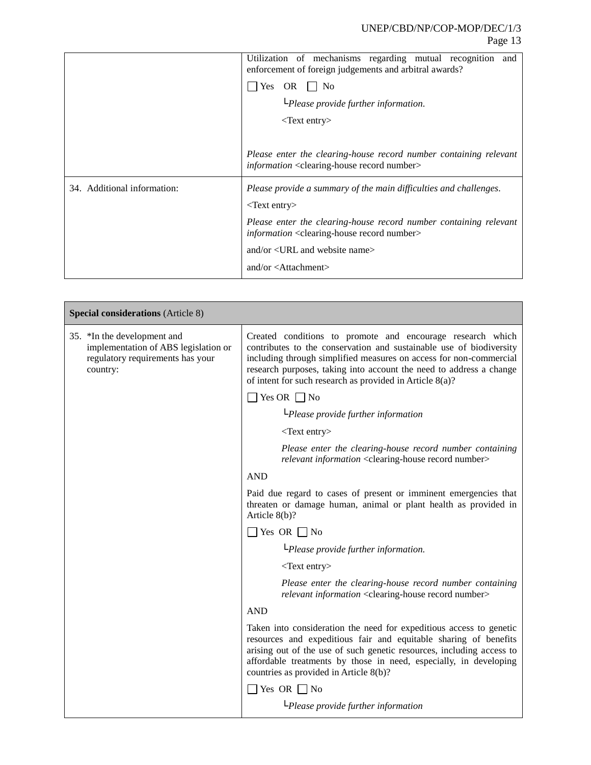|                             | Utilization of mechanisms regarding mutual recognition<br>and<br>enforcement of foreign judgements and arbitral awards?                       |
|-----------------------------|-----------------------------------------------------------------------------------------------------------------------------------------------|
|                             | Yes<br>OR<br>$\perp$ No                                                                                                                       |
|                             | $L$ Please provide further information.                                                                                                       |
|                             | $\langle$ Text entry $\rangle$                                                                                                                |
|                             |                                                                                                                                               |
|                             | Please enter the clearing-house record number containing relevant<br><i>information</i> <clearing-house number="" record=""></clearing-house> |
| 34. Additional information: | Please provide a summary of the main difficulties and challenges.                                                                             |
|                             | $\langle$ Text entry $\rangle$                                                                                                                |
|                             | Please enter the clearing-house record number containing relevant<br>information <clearing-house number="" record=""></clearing-house>        |
|                             | and/or $\langle \text{URL}$ and website name $>$                                                                                              |
|                             | and/or $\lt$ Attachment $>$                                                                                                                   |

| <b>Special considerations</b> (Article 8)                                                                           |                                                                                                                                                                                                                                                                                                                                            |  |
|---------------------------------------------------------------------------------------------------------------------|--------------------------------------------------------------------------------------------------------------------------------------------------------------------------------------------------------------------------------------------------------------------------------------------------------------------------------------------|--|
| 35. *In the development and<br>implementation of ABS legislation or<br>regulatory requirements has your<br>country: | Created conditions to promote and encourage research which<br>contributes to the conservation and sustainable use of biodiversity<br>including through simplified measures on access for non-commercial<br>research purposes, taking into account the need to address a change<br>of intent for such research as provided in Article 8(a)? |  |
|                                                                                                                     | $\Box$ Yes OR $\Box$ No                                                                                                                                                                                                                                                                                                                    |  |
|                                                                                                                     | $L$ Please provide further information                                                                                                                                                                                                                                                                                                     |  |
|                                                                                                                     | $<$ Text entry $>$                                                                                                                                                                                                                                                                                                                         |  |
|                                                                                                                     | Please enter the clearing-house record number containing<br>relevant information <clearing-house number="" record=""></clearing-house>                                                                                                                                                                                                     |  |
|                                                                                                                     | <b>AND</b>                                                                                                                                                                                                                                                                                                                                 |  |
|                                                                                                                     | Paid due regard to cases of present or imminent emergencies that<br>threaten or damage human, animal or plant health as provided in<br>Article $8(b)$ ?                                                                                                                                                                                    |  |
|                                                                                                                     | $\Box$ Yes OR $\Box$ No                                                                                                                                                                                                                                                                                                                    |  |
|                                                                                                                     | $L$ Please provide further information.                                                                                                                                                                                                                                                                                                    |  |
|                                                                                                                     | <text entry=""></text>                                                                                                                                                                                                                                                                                                                     |  |
|                                                                                                                     | Please enter the clearing-house record number containing<br>relevant information <clearing-house number="" record=""></clearing-house>                                                                                                                                                                                                     |  |
|                                                                                                                     | <b>AND</b>                                                                                                                                                                                                                                                                                                                                 |  |
|                                                                                                                     | Taken into consideration the need for expeditious access to genetic<br>resources and expeditious fair and equitable sharing of benefits<br>arising out of the use of such genetic resources, including access to<br>affordable treatments by those in need, especially, in developing<br>countries as provided in Article 8(b)?            |  |
|                                                                                                                     | $\Box$ Yes OR $\Box$ No                                                                                                                                                                                                                                                                                                                    |  |
|                                                                                                                     | $L$ Please provide further information                                                                                                                                                                                                                                                                                                     |  |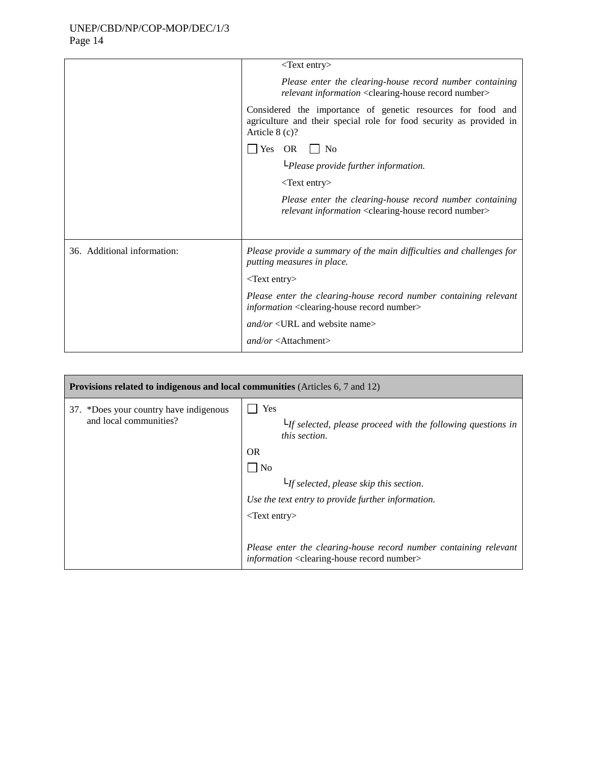|                             | $<$ Text entry $>$                                                                                                                                     |
|-----------------------------|--------------------------------------------------------------------------------------------------------------------------------------------------------|
|                             | Please enter the clearing-house record number containing<br>relevant information <clearing-house number="" record=""></clearing-house>                 |
|                             | Considered the importance of genetic resources for food and<br>agriculture and their special role for food security as provided in<br>Article $8(c)$ ? |
|                             | $\Box$ Yes OR $\Box$ No                                                                                                                                |
|                             | $L$ Please provide further information.                                                                                                                |
|                             | $<$ Text entry $>$                                                                                                                                     |
|                             | Please enter the clearing-house record number containing<br>relevant information <clearing-house number="" record=""></clearing-house>                 |
|                             |                                                                                                                                                        |
| 36. Additional information: | Please provide a summary of the main difficulties and challenges for<br>putting measures in place.                                                     |
|                             | $<$ Text entry>                                                                                                                                        |
|                             | Please enter the clearing-house record number containing relevant<br><i>information</i> <clearing-house number="" record=""></clearing-house>          |
|                             | and/or <url and="" name="" website=""></url>                                                                                                           |
|                             | $and/or <$ Attachment>                                                                                                                                 |
|                             |                                                                                                                                                        |

| <b>Provisions related to indigenous and local communities</b> (Articles 6, 7 and 12) |                                                                                                                                        |
|--------------------------------------------------------------------------------------|----------------------------------------------------------------------------------------------------------------------------------------|
| 37. *Does your country have indigenous<br>and local communities?                     | Yes<br>$L$ If selected, please proceed with the following questions in<br><i>this section.</i><br><b>OR</b>                            |
|                                                                                      | $\vert$   No                                                                                                                           |
|                                                                                      | $L_f$ selected, please skip this section.                                                                                              |
|                                                                                      | Use the text entry to provide further information.                                                                                     |
|                                                                                      | $\langle$ Text entry $\rangle$                                                                                                         |
|                                                                                      | Please enter the clearing-house record number containing relevant<br>information <clearing-house number="" record=""></clearing-house> |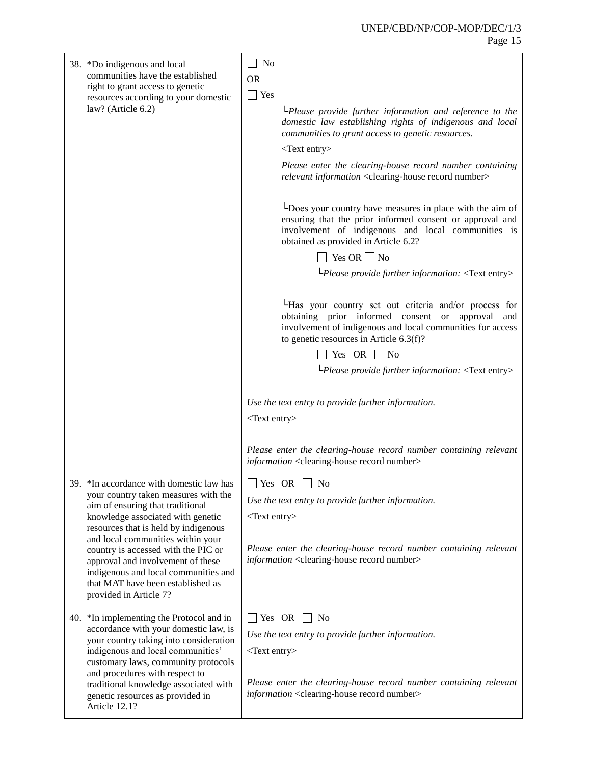| 38. *Do indigenous and local<br>communities have the established<br>right to grant access to genetic<br>resources according to your domestic<br>law? (Article 6.2)                                                                                                                                                                                                                                                        | $\Box$ No<br><b>OR</b><br>$\Box$ Yes<br>$L$ Please provide further information and reference to the<br>domestic law establishing rights of indigenous and local<br>communities to grant access to genetic resources.<br><text entry=""><br/>Please enter the clearing-house record number containing<br/>relevant information <clearing-house number="" record=""><br/>Loes your country have measures in place with the aim of<br/>ensuring that the prior informed consent or approval and<br/>involvement of indigenous and local communities is<br/>obtained as provided in Article 6.2?<br/><math>\Box</math> Yes OR <math>\Box</math> No<br/><math>L</math>Please provide further information: <text entry=""><br/>LHas your country set out criteria and/or process for<br/>obtaining prior informed consent or approval<br/>and<br/>involvement of indigenous and local communities for access<br/>to genetic resources in Article 6.3(f)?<br/><math>\exists</math> Yes OR <math>\Box</math> No</text></clearing-house></text> |
|---------------------------------------------------------------------------------------------------------------------------------------------------------------------------------------------------------------------------------------------------------------------------------------------------------------------------------------------------------------------------------------------------------------------------|----------------------------------------------------------------------------------------------------------------------------------------------------------------------------------------------------------------------------------------------------------------------------------------------------------------------------------------------------------------------------------------------------------------------------------------------------------------------------------------------------------------------------------------------------------------------------------------------------------------------------------------------------------------------------------------------------------------------------------------------------------------------------------------------------------------------------------------------------------------------------------------------------------------------------------------------------------------------------------------------------------------------------------------|
|                                                                                                                                                                                                                                                                                                                                                                                                                           | LPlease provide further information: <text entry=""><br/>Use the text entry to provide further information.<br/><math>&lt;</math>Text entry<math>&gt;</math><br/>Please enter the clearing-house record number containing relevant<br/>information <clearing-house number="" record=""></clearing-house></text>                                                                                                                                                                                                                                                                                                                                                                                                                                                                                                                                                                                                                                                                                                                        |
| 39. *In accordance with domestic law has<br>your country taken measures with the<br>aim of ensuring that traditional<br>knowledge associated with genetic<br>resources that is held by indigenous<br>and local communities within your<br>country is accessed with the PIC or<br>approval and involvement of these<br>indigenous and local communities and<br>that MAT have been established as<br>provided in Article 7? | $\Box$ Yes OR $\Box$ No<br>Use the text entry to provide further information.<br>$<$ Text entry $>$<br>Please enter the clearing-house record number containing relevant<br>information <clearing-house number="" record=""></clearing-house>                                                                                                                                                                                                                                                                                                                                                                                                                                                                                                                                                                                                                                                                                                                                                                                          |
| 40. *In implementing the Protocol and in<br>accordance with your domestic law, is<br>your country taking into consideration<br>indigenous and local communities'<br>customary laws, community protocols<br>and procedures with respect to<br>traditional knowledge associated with<br>genetic resources as provided in<br>Article 12.1?                                                                                   | $\Box$ Yes OR $\Box$ No<br>Use the text entry to provide further information.<br>$<$ Text entry $>$<br>Please enter the clearing-house record number containing relevant<br>information <clearing-house number="" record=""></clearing-house>                                                                                                                                                                                                                                                                                                                                                                                                                                                                                                                                                                                                                                                                                                                                                                                          |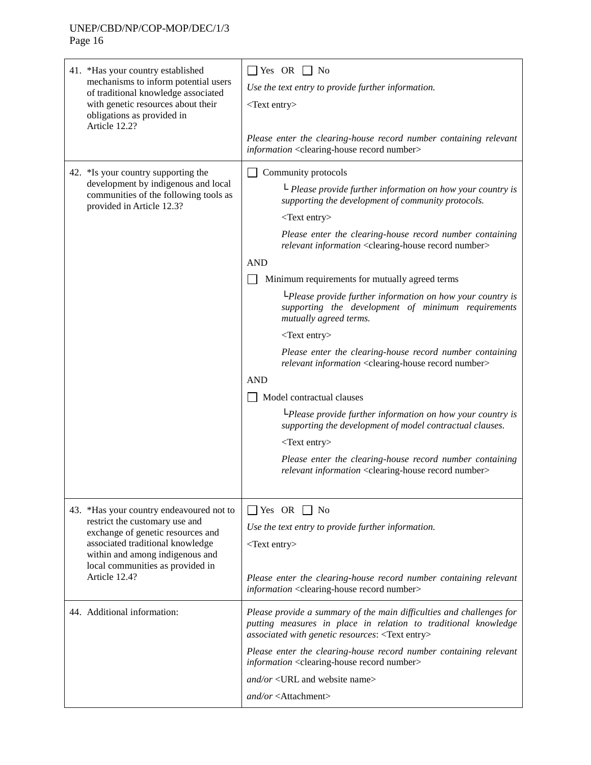41. \*Has your country established mechanisms to inform potential users of traditional knowledge associated with genetic resources about their obligations as provided in Article 12.2?  $\Box$  Yes OR  $\Box$  No *Use the text entry to provide further information.* <Text entry> *Please enter the clearing-house record number containing relevant information* <clearing-house record number> 42. \*Is your country supporting the development by indigenous and local communities of the following tools as provided in Article 12.3? Community protocols └ *Please provide further information on how your country is supporting the development of community protocols.* <Text entry> *Please enter the clearing-house record number containing relevant information* <clearing-house record number> AND Minimum requirements for mutually agreed terms └*Please provide further information on how your country is supporting the development of minimum requirements mutually agreed terms.* <Text entry> *Please enter the clearing-house record number containing relevant information* <clearing-house record number> AND Model contractual clauses └*Please provide further information on how your country is supporting the development of model contractual clauses.* <Text entry> *Please enter the clearing-house record number containing relevant information* <clearing-house record number> 43. \*Has your country endeavoured not to restrict the customary use and exchange of genetic resources and associated traditional knowledge within and among indigenous and local communities as provided in Article 12.4?  $\Box$  Yes OR  $\Box$  No *Use the text entry to provide further information.* <Text entry> *Please enter the clearing-house record number containing relevant information* <clearing-house record number> 44. Additional information: *Please provide a summary of the main difficulties and challenges for putting measures in place in relation to traditional knowledge associated with genetic resources*: <Text entry> *Please enter the clearing-house record number containing relevant information* <clearing-house record number> *and/or* <URL and website name> *and/or* <Attachment>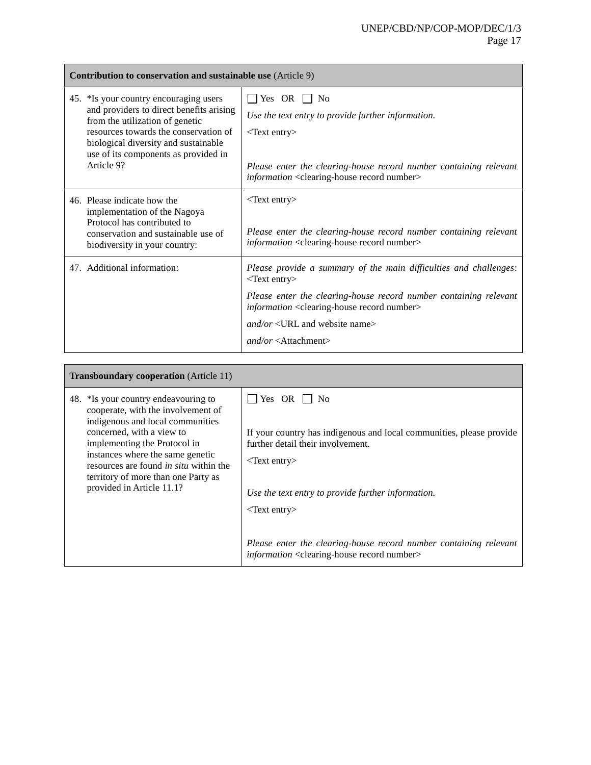| <b>Contribution to conservation and sustainable use</b> (Article 9)                                                                                                                                                                                          |                                                                                                                                                                                                                                                                                                                                           |
|--------------------------------------------------------------------------------------------------------------------------------------------------------------------------------------------------------------------------------------------------------------|-------------------------------------------------------------------------------------------------------------------------------------------------------------------------------------------------------------------------------------------------------------------------------------------------------------------------------------------|
| 45. *Is your country encouraging users<br>and providers to direct benefits arising<br>from the utilization of genetic<br>resources towards the conservation of<br>biological diversity and sustainable<br>use of its components as provided in<br>Article 9? | $ $ Yes OR $ $ No<br>Use the text entry to provide further information.<br>$<$ Text entry $>$<br>Please enter the clearing-house record number containing relevant<br><i>information</i> <clearing-house number="" record=""></clearing-house>                                                                                            |
| 46. Please indicate how the<br>implementation of the Nagoya<br>Protocol has contributed to<br>conservation and sustainable use of<br>biodiversity in your country:                                                                                           | $\langle$ Text entry $\rangle$<br>Please enter the clearing-house record number containing relevant<br><i>information</i> <clearing-house number="" record=""></clearing-house>                                                                                                                                                           |
| 47. Additional information:                                                                                                                                                                                                                                  | Please provide a summary of the main difficulties and challenges:<br>$<$ Text entry $>$<br>Please enter the clearing-house record number containing relevant<br><i>information</i> <clearing-house number="" record=""><br/><math>and/or &lt; URL</math> and website name&gt;<br/><math>and/or &lt;</math>Attachment&gt;</clearing-house> |

| <b>Transboundary cooperation</b> (Article 11)                                                                                                                                                                                                                                                                                        |                                                                                                                                                                                                                                                                                                                                                                                                    |
|--------------------------------------------------------------------------------------------------------------------------------------------------------------------------------------------------------------------------------------------------------------------------------------------------------------------------------------|----------------------------------------------------------------------------------------------------------------------------------------------------------------------------------------------------------------------------------------------------------------------------------------------------------------------------------------------------------------------------------------------------|
| 48. *Is your country endeavouring to<br>cooperate, with the involvement of<br>indigenous and local communities<br>concerned, with a view to<br>implementing the Protocol in<br>instances where the same genetic<br>resources are found <i>in situ</i> within the<br>territory of more than one Party as<br>provided in Article 11.1? | $ $ Yes OR $ $ No<br>If your country has indigenous and local communities, please provide<br>further detail their involvement.<br>$\langle$ Text entry $\rangle$<br>Use the text entry to provide further information.<br>$\langle$ Text entry $\rangle$<br>Please enter the clearing-house record number containing relevant<br>information <clearing-house number="" record=""></clearing-house> |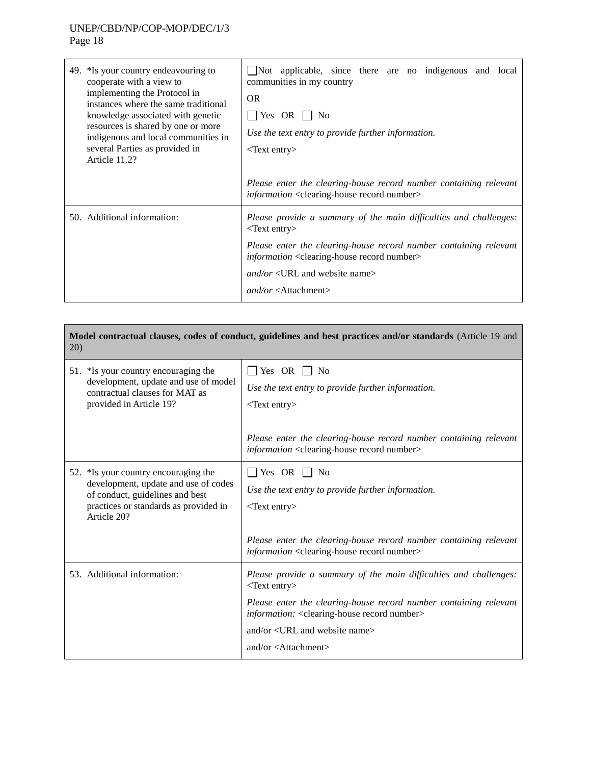| 49. *Is your country endeavouring to<br>cooperate with a view to<br>implementing the Protocol in<br>instances where the same traditional<br>knowledge associated with genetic<br>resources is shared by one or more<br>indigenous and local communities in<br>several Parties as provided in<br>Article 11.2? | $\Box$ Not applicable, since there are no indigenous and local<br>communities in my country<br><b>OR</b><br>$ $ Yes OR $ $ No<br>Use the text entry to provide further information.<br>$\langle$ Text entry $\rangle$ |
|---------------------------------------------------------------------------------------------------------------------------------------------------------------------------------------------------------------------------------------------------------------------------------------------------------------|-----------------------------------------------------------------------------------------------------------------------------------------------------------------------------------------------------------------------|
|                                                                                                                                                                                                                                                                                                               | Please enter the clearing-house record number containing relevant<br><i>information</i> <clearing-house number="" record=""></clearing-house>                                                                         |
| 50. Additional information:                                                                                                                                                                                                                                                                                   | Please provide a summary of the main difficulties and challenges:<br>$\langle$ Text entry $\rangle$                                                                                                                   |
|                                                                                                                                                                                                                                                                                                               | Please enter the clearing-house record number containing relevant<br><i>information</i> <clearing-house number="" record=""></clearing-house>                                                                         |
|                                                                                                                                                                                                                                                                                                               | $and/or < URL$ and website name>                                                                                                                                                                                      |
|                                                                                                                                                                                                                                                                                                               | $and/or <$ Attachment>                                                                                                                                                                                                |

| Model contractual clauses, codes of conduct, guidelines and best practices and/or standards (Article 19 and<br>20)                                                      |                                                                                                                                                                                                                                                                                                                                         |
|-------------------------------------------------------------------------------------------------------------------------------------------------------------------------|-----------------------------------------------------------------------------------------------------------------------------------------------------------------------------------------------------------------------------------------------------------------------------------------------------------------------------------------|
| 51. *Is your country encouraging the<br>development, update and use of model<br>contractual clauses for MAT as<br>provided in Article 19?                               | $\Box$ Yes OR $\Box$ No<br>Use the text entry to provide further information.<br>$<$ Text entry><br>Please enter the clearing-house record number containing relevant<br><i>information</i> <clearing-house number="" record=""></clearing-house>                                                                                       |
| 52. *Is your country encouraging the<br>development, update and use of codes<br>of conduct, guidelines and best<br>practices or standards as provided in<br>Article 20? | $\Box$ Yes OR $\Box$ No<br>Use the text entry to provide further information.<br>$<$ Text entry $>$<br>Please enter the clearing-house record number containing relevant<br><i>information</i> <clearing-house number="" record=""></clearing-house>                                                                                    |
| 53. Additional information:                                                                                                                                             | Please provide a summary of the main difficulties and challenges:<br>$<$ Text entry><br>Please enter the clearing-house record number containing relevant<br>information: <clearing-house number="" record=""><br/>and/or <url and="" name="" website=""><br/>and/or <math>\lt</math>Attachment<math>&gt;</math></url></clearing-house> |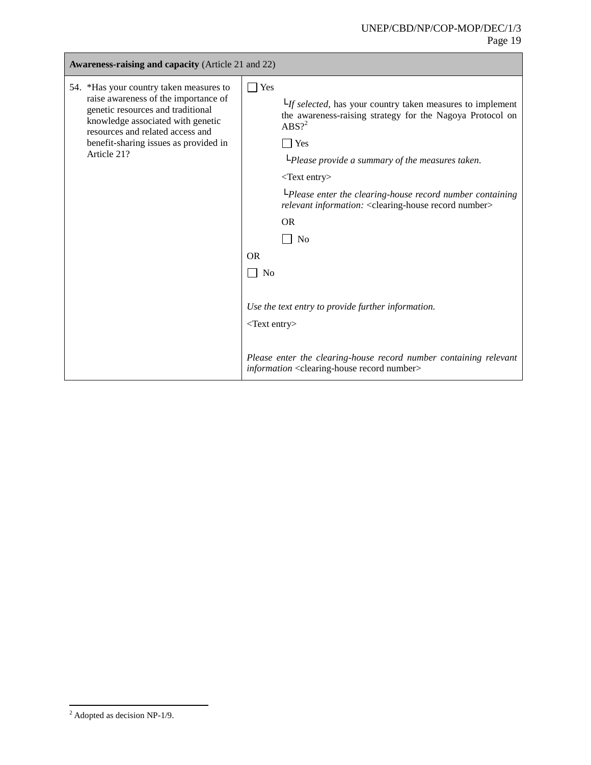| <b>Awareness-raising and capacity (Article 21 and 22)</b>                                                                                                                                                                                             |                                                                                                                                                                                                                                                                                                                                                                                                                                                                                                                                                                                                                                                                                                                 |  |
|-------------------------------------------------------------------------------------------------------------------------------------------------------------------------------------------------------------------------------------------------------|-----------------------------------------------------------------------------------------------------------------------------------------------------------------------------------------------------------------------------------------------------------------------------------------------------------------------------------------------------------------------------------------------------------------------------------------------------------------------------------------------------------------------------------------------------------------------------------------------------------------------------------------------------------------------------------------------------------------|--|
| 54. *Has your country taken measures to<br>raise awareness of the importance of<br>genetic resources and traditional<br>knowledge associated with genetic<br>resources and related access and<br>benefit-sharing issues as provided in<br>Article 21? | $\Box$ Yes<br>$L_{\textit{If selected}}$ , has your country taken measures to implement<br>the awareness-raising strategy for the Nagoya Protocol on<br>$ABS?^2$<br>$\exists$ Yes<br>LPlease provide a summary of the measures taken.<br><text entry=""><br/><math>L</math>Please enter the clearing-house record number containing<br/>relevant information: &lt; clearing-house record number&gt;<br/><b>OR</b><br/>N<sub>o</sub><br/><b>OR</b><br/>N<sub>0</sub><br/>Use the text entry to provide further information.<br/><text entry=""><br/>Please enter the clearing-house record number containing relevant<br/><i>information</i> <clearing-house number="" record=""></clearing-house></text></text> |  |

l

 $2$  Adopted as decision NP-1/9.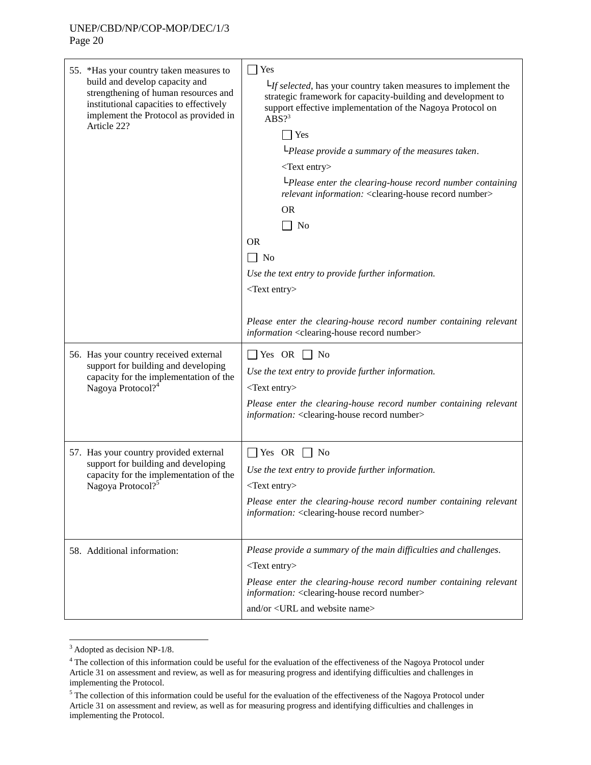| 55. *Has your country taken measures to<br>build and develop capacity and<br>strengthening of human resources and<br>institutional capacities to effectively<br>implement the Protocol as provided in<br>Article 22? | $\Box$ Yes<br>$L_f$ selected, has your country taken measures to implement the<br>strategic framework for capacity-building and development to<br>support effective implementation of the Nagoya Protocol on<br>$ABS$ ?<br>Yes<br>LPlease provide a summary of the measures taken.<br><text entry=""><br/>LPlease enter the clearing-house record number containing<br/>relevant information: &lt; clearing-house record number&gt;<br/><b>OR</b><br/>No<br/><b>OR</b><br/><math>\Box</math> No<br/>Use the text entry to provide further information.<br/><math>&lt;</math>Text entry<math>&gt;</math><br/>Please enter the clearing-house record number containing relevant<br/>information <clearing-house number="" record=""></clearing-house></text> |
|----------------------------------------------------------------------------------------------------------------------------------------------------------------------------------------------------------------------|------------------------------------------------------------------------------------------------------------------------------------------------------------------------------------------------------------------------------------------------------------------------------------------------------------------------------------------------------------------------------------------------------------------------------------------------------------------------------------------------------------------------------------------------------------------------------------------------------------------------------------------------------------------------------------------------------------------------------------------------------------|
| 56. Has your country received external<br>support for building and developing<br>capacity for the implementation of the<br>Nagoya Protocol? <sup>4</sup>                                                             | $\Box$ Yes OR $\Box$ No<br>Use the text entry to provide further information.<br>$<$ Text entry $>$<br>Please enter the clearing-house record number containing relevant<br>information: < clearing-house record number>                                                                                                                                                                                                                                                                                                                                                                                                                                                                                                                                   |
| 57. Has your country provided external<br>support for building and developing<br>capacity for the implementation of the<br>Nagoya Protocol? <sup>5</sup>                                                             | $\Box$ Yes OR $\Box$ No<br>Use the text entry to provide further information.<br><text entry=""><br/>Please enter the clearing-house record number containing relevant<br/>information: <clearing-house number="" record=""></clearing-house></text>                                                                                                                                                                                                                                                                                                                                                                                                                                                                                                       |
| 58. Additional information:                                                                                                                                                                                          | Please provide a summary of the main difficulties and challenges.<br>$<$ Text entry><br>Please enter the clearing-house record number containing relevant<br>information: <clearing-house number="" record=""><br/>and/or <url and="" name="" website=""></url></clearing-house>                                                                                                                                                                                                                                                                                                                                                                                                                                                                           |

l

 $3$  Adopted as decision NP-1/8.

 $4$  The collection of this information could be useful for the evaluation of the effectiveness of the Nagoya Protocol under Article 31 on assessment and review, as well as for measuring progress and identifying difficulties and challenges in implementing the Protocol.

<sup>&</sup>lt;sup>5</sup> The collection of this information could be useful for the evaluation of the effectiveness of the Nagoya Protocol under Article 31 on assessment and review, as well as for measuring progress and identifying difficulties and challenges in implementing the Protocol.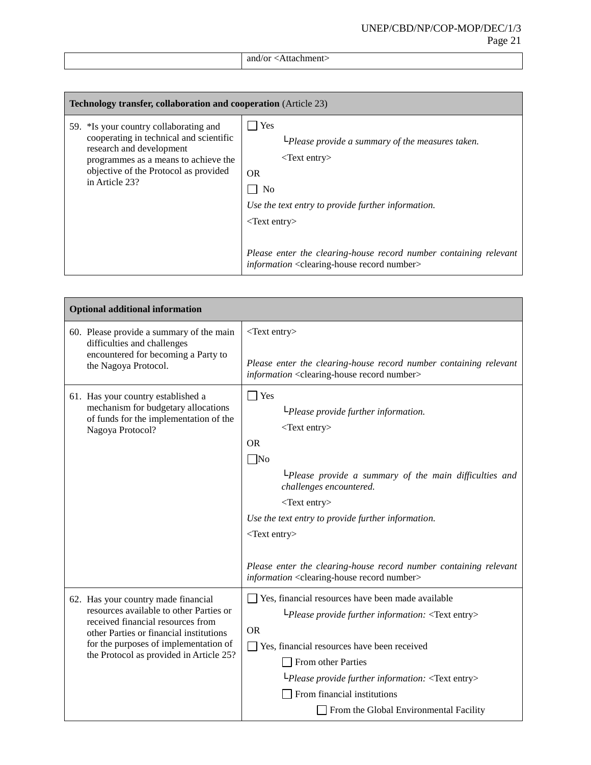| . .<br>. |
|----------|
|          |

| <b>Technology transfer, collaboration and cooperation</b> (Article 23)                                                                                                                                           |                                                                                                                                                                                                                                                                                                                                                          |
|------------------------------------------------------------------------------------------------------------------------------------------------------------------------------------------------------------------|----------------------------------------------------------------------------------------------------------------------------------------------------------------------------------------------------------------------------------------------------------------------------------------------------------------------------------------------------------|
| 59. *Is your country collaborating and<br>cooperating in technical and scientific<br>research and development<br>programmes as a means to achieve the<br>objective of the Protocol as provided<br>in Article 23? | Yes<br>$L$ Please provide a summary of the measures taken.<br>$\langle$ Text entry $\rangle$<br><b>OR</b><br>No<br>Use the text entry to provide further information.<br>$\langle$ Text entry $\rangle$<br>Please enter the clearing-house record number containing relevant<br><i>information</i> <clearing-house number="" record=""></clearing-house> |

| <b>Optional additional information</b>                                                                                                                                                                                                             |                                                                                                                                                                                                                                                                                                                                                                                                                                                    |  |
|----------------------------------------------------------------------------------------------------------------------------------------------------------------------------------------------------------------------------------------------------|----------------------------------------------------------------------------------------------------------------------------------------------------------------------------------------------------------------------------------------------------------------------------------------------------------------------------------------------------------------------------------------------------------------------------------------------------|--|
| 60. Please provide a summary of the main<br>difficulties and challenges<br>encountered for becoming a Party to<br>the Nagoya Protocol.                                                                                                             | $<$ Text entry><br>Please enter the clearing-house record number containing relevant<br>information <clearing-house number="" record=""></clearing-house>                                                                                                                                                                                                                                                                                          |  |
| 61. Has your country established a<br>mechanism for budgetary allocations<br>of funds for the implementation of the<br>Nagoya Protocol?                                                                                                            | $\Box$ Yes<br>$L$ Please provide further information.<br>$<$ Text entry><br><b>OR</b><br>$\Box$ No<br>$L$ Please provide a summary of the main difficulties and<br>challenges encountered.<br><text entry=""><br/>Use the text entry to provide further information.<br/><text entry=""><br/>Please enter the clearing-house record number containing relevant<br/>information <clearing-house number="" record=""></clearing-house></text></text> |  |
| 62. Has your country made financial<br>resources available to other Parties or<br>received financial resources from<br>other Parties or financial institutions<br>for the purposes of implementation of<br>the Protocol as provided in Article 25? | Yes, financial resources have been made available<br>$L$ Please provide further information: $\langle$ Text entry><br><b>OR</b><br>□ Yes, financial resources have been received<br>From other Parties<br>$L$ Please provide further information: <text entry=""><br/>From financial institutions<br/>From the Global Environmental Facility</text>                                                                                                |  |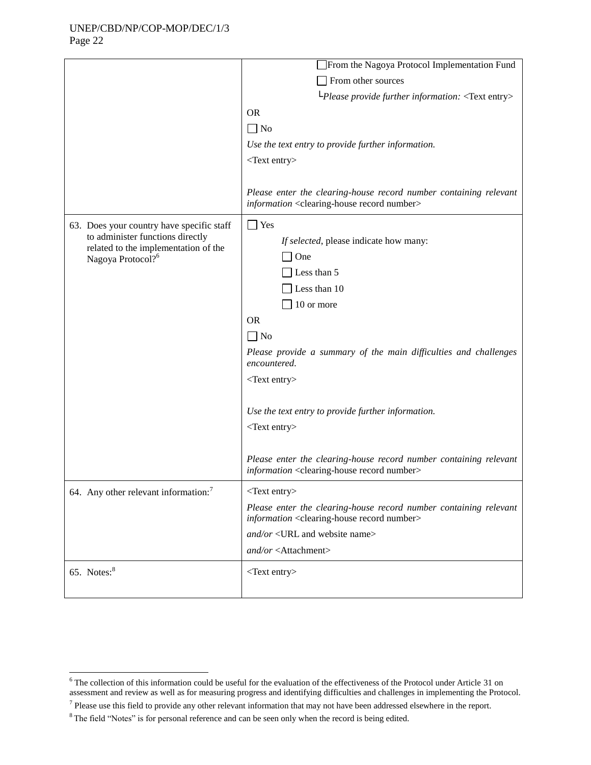Page 22

 $\overline{a}$ 

|                                                                               | From the Nagoya Protocol Implementation Fund                                                                                           |
|-------------------------------------------------------------------------------|----------------------------------------------------------------------------------------------------------------------------------------|
|                                                                               | From other sources                                                                                                                     |
|                                                                               | $L$ Please provide further information: <text entry=""></text>                                                                         |
|                                                                               |                                                                                                                                        |
|                                                                               | <b>OR</b>                                                                                                                              |
|                                                                               | $\Box$ No                                                                                                                              |
|                                                                               | Use the text entry to provide further information.                                                                                     |
|                                                                               | $<$ Text entry $>$                                                                                                                     |
|                                                                               |                                                                                                                                        |
|                                                                               | Please enter the clearing-house record number containing relevant<br>information <clearing-house number="" record=""></clearing-house> |
| 63. Does your country have specific staff<br>to administer functions directly | $\Box$ Yes                                                                                                                             |
|                                                                               | If selected, please indicate how many:                                                                                                 |
| related to the implementation of the<br>Nagoya Protocol? <sup>6</sup>         | One                                                                                                                                    |
|                                                                               | Less than 5                                                                                                                            |
|                                                                               | Less than 10                                                                                                                           |
|                                                                               | 10 or more                                                                                                                             |
|                                                                               |                                                                                                                                        |
|                                                                               | <b>OR</b>                                                                                                                              |
|                                                                               | $\Box$ No                                                                                                                              |
|                                                                               | Please provide a summary of the main difficulties and challenges<br>encountered.                                                       |
|                                                                               | $<$ Text entry $>$                                                                                                                     |
|                                                                               |                                                                                                                                        |
|                                                                               | Use the text entry to provide further information.                                                                                     |
|                                                                               | <text entry=""></text>                                                                                                                 |
|                                                                               |                                                                                                                                        |
|                                                                               | Please enter the clearing-house record number containing relevant<br>information <clearing-house number="" record=""></clearing-house> |
| 64. Any other relevant information: <sup>7</sup>                              | <text entry=""></text>                                                                                                                 |
|                                                                               | Please enter the clearing-house record number containing relevant<br>information <clearing-house number="" record=""></clearing-house> |
|                                                                               | and/or <url and="" name="" website=""></url>                                                                                           |
|                                                                               | and/or <attachment></attachment>                                                                                                       |
| 65. Notes: <sup>8</sup>                                                       | <text entry=""></text>                                                                                                                 |
|                                                                               |                                                                                                                                        |

 $6$  The collection of this information could be useful for the evaluation of the effectiveness of the Protocol under Article 31 on assessment and review as well as for measuring progress and identifying difficulties and challenges in implementing the Protocol.

 $<sup>7</sup>$  Please use this field to provide any other relevant information that may not have been addressed elsewhere in the report.</sup>

<sup>&</sup>lt;sup>8</sup> The field "Notes" is for personal reference and can be seen only when the record is being edited.